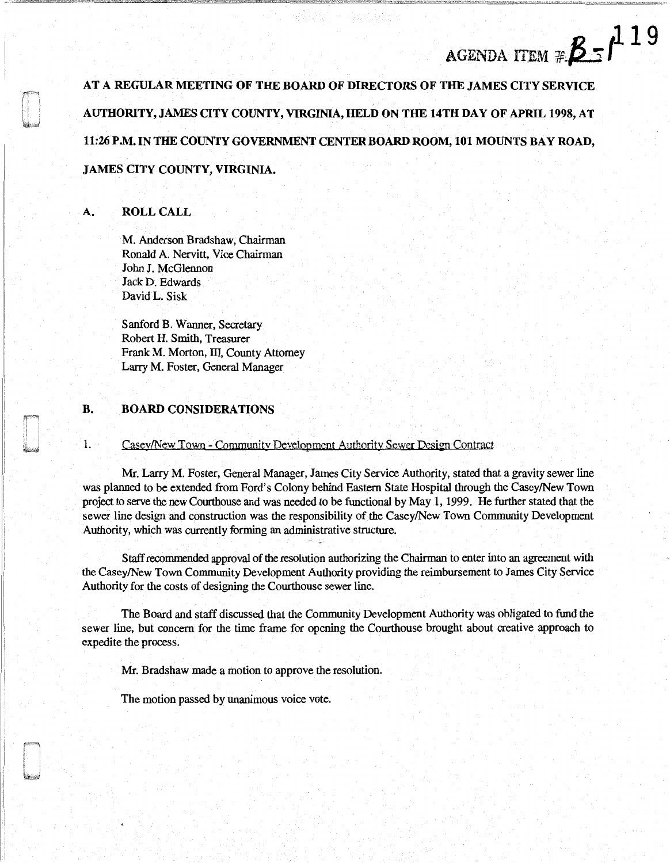# J. 1 9 agenda item # $\beta$  -  $\prime$

AT A REGULAR MEETING OF THE BOARD OF DIRECTORS OF THE JAMES CITY SERVICE AUTHORITY, JAMES CITY COUNTY, VIRGINIA, HELD ON THE 14TH DAY OF APRIL 1998, AT 11:26 P.M. IN THE COUNTY GOVERNMENT CENTER BOARD ROOM, 101 MOUNTS BAY ROAD, JAMES CITY COUNTY, VIRGINIA.

# A. ROLL CALL

M. Anderson Bradshaw, Chairman Ronald A. Nervitt, Vice Chairman John J. McGlennon Jack D. Edwards David L. Sisk

Sanford B. Wanner, Secretary Robert H. Smith, Treasurer Frank M. Morton, III, County Attorney Larry M. Foster, General Manager

#### B. BOARD CONSIDERATIONS

1. Casey/New Town - Community Development Authority Sewer Design Contract

Mr. Larry M. Foster, General Manager, James City Service Authority, stated that a gravity sewer line was planned to be extended from Ford's Colony behind Eastern State Hospital through the Casey/New Town project to serve the new Courthouse and was needed to be functional by May 1, 1999. He further stated that the sewer line design and construction was the responsibility of the Casey/New Town Community Development Authority, which was currently forming an administrative structure.

Staff recommended approval of the resolution authorizing the Chairman to enter into an agreement with the Casey/New Town Community Development Authority providing the reimbursement to James City Service Authority for the costs of designing the Courthouse sewer line.

The Board and staff discussed that the Community Development Authority was obligated to fund the sewer line, but concern for the time frame for opening the Courthouse brought about creative approach to expedite the process.

Mr. Bradshaw made a motion to approve the resolution.

The motion passed by unanimous voice vote.